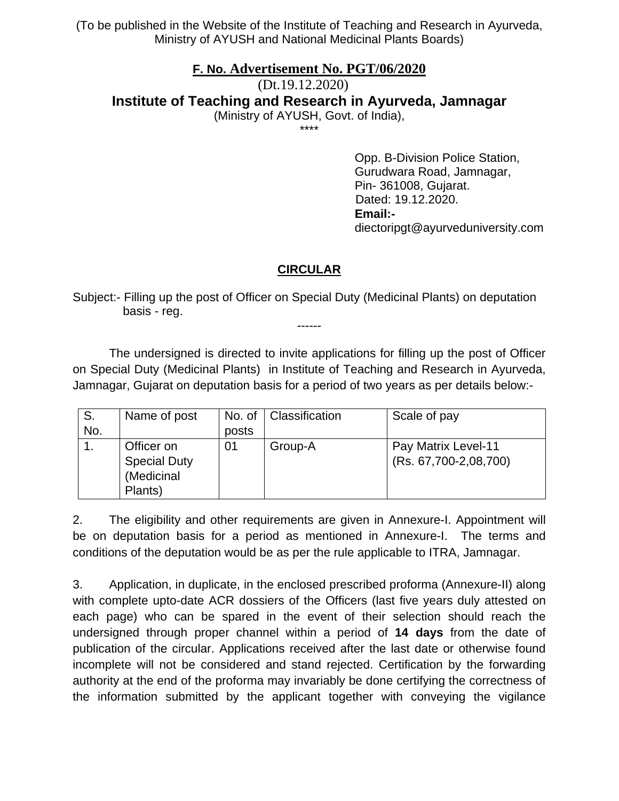(To be published in the Website of the Institute of Teaching and Research in Ayurveda, Ministry of AYUSH and National Medicinal Plants Boards)

## **F. No. Advertisement No. PGT/06/2020**

(Dt.19.12.2020) **Institute of Teaching and Research in Ayurveda, Jamnagar**  (Ministry of AYUSH, Govt. of India),

\*\*\*\*

Opp. B-Division Police Station, Gurudwara Road, Jamnagar, Pin- 361008, Gujarat. Dated: 19.12.2020. **Email:**  diectoripgt@ayurveduniversity.com

## **CIRCULAR**

Subject:- Filling up the post of Officer on Special Duty (Medicinal Plants) on deputation basis - reg.

 The undersigned is directed to invite applications for filling up the post of Officer on Special Duty (Medicinal Plants) in Institute of Teaching and Research in Ayurveda, Jamnagar, Gujarat on deputation basis for a period of two years as per details below:-

------

| S.  | Name of post        | No. of | <b>Classification</b> | Scale of pay          |
|-----|---------------------|--------|-----------------------|-----------------------|
| No. |                     | posts  |                       |                       |
|     | Officer on          | 01     | Group-A               | Pay Matrix Level-11   |
|     | <b>Special Duty</b> |        |                       | (Rs. 67,700-2,08,700) |
|     | (Medicinal          |        |                       |                       |
|     | Plants)             |        |                       |                       |

2. The eligibility and other requirements are given in Annexure-I. Appointment will be on deputation basis for a period as mentioned in Annexure-I. The terms and conditions of the deputation would be as per the rule applicable to ITRA, Jamnagar.

3. Application, in duplicate, in the enclosed prescribed proforma (Annexure-II) along with complete upto-date ACR dossiers of the Officers (last five years duly attested on each page) who can be spared in the event of their selection should reach the undersigned through proper channel within a period of **14 days** from the date of publication of the circular. Applications received after the last date or otherwise found incomplete will not be considered and stand rejected. Certification by the forwarding authority at the end of the proforma may invariably be done certifying the correctness of the information submitted by the applicant together with conveying the vigilance